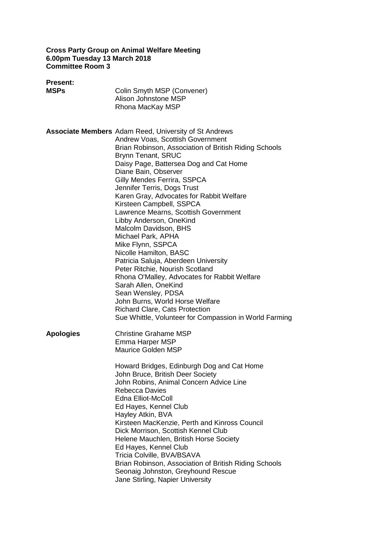#### **Cross Party Group on Animal Welfare Meeting 6.00pm Tuesday 13 March 2018 Committee Room 3**

| <b>Present:</b><br><b>MSPs</b> | Colin Smyth MSP (Convener)<br>Alison Johnstone MSP<br>Rhona MacKay MSP                                                                                                                                                                                                                                                                                                                                                                                                                                                                                                                                                                                                                                                                                                                                                                                                         |
|--------------------------------|--------------------------------------------------------------------------------------------------------------------------------------------------------------------------------------------------------------------------------------------------------------------------------------------------------------------------------------------------------------------------------------------------------------------------------------------------------------------------------------------------------------------------------------------------------------------------------------------------------------------------------------------------------------------------------------------------------------------------------------------------------------------------------------------------------------------------------------------------------------------------------|
|                                | <b>Associate Members</b> Adam Reed, University of St Andrews<br>Andrew Voas, Scottish Government<br>Brian Robinson, Association of British Riding Schools<br><b>Brynn Tenant, SRUC</b><br>Daisy Page, Battersea Dog and Cat Home<br>Diane Bain, Observer<br>Gilly Mendes Ferrira, SSPCA<br>Jennifer Terris, Dogs Trust<br>Karen Gray, Advocates for Rabbit Welfare<br>Kirsteen Campbell, SSPCA<br>Lawrence Mearns, Scottish Government<br>Libby Anderson, OneKind<br>Malcolm Davidson, BHS<br>Michael Park, APHA<br>Mike Flynn, SSPCA<br>Nicolle Hamilton, BASC<br>Patricia Saluja, Aberdeen University<br>Peter Ritchie, Nourish Scotland<br>Rhona O'Malley, Advocates for Rabbit Welfare<br>Sarah Allen, OneKind<br>Sean Wensley, PDSA<br>John Burns, World Horse Welfare<br><b>Richard Clare, Cats Protection</b><br>Sue Whittle, Volunteer for Compassion in World Farming |
| <b>Apologies</b>               | <b>Christine Grahame MSP</b><br>Emma Harper MSP<br><b>Maurice Golden MSP</b><br>Howard Bridges, Edinburgh Dog and Cat Home<br>John Bruce, British Deer Society<br>John Robins, Animal Concern Advice Line<br><b>Rebecca Davies</b><br>Edna Elliot-McColl<br>Ed Hayes, Kennel Club<br>Hayley Atkin, BVA<br>Kirsteen MacKenzie, Perth and Kinross Council<br>Dick Morrison, Scottish Kennel Club<br>Helene Mauchlen, British Horse Society<br>Ed Hayes, Kennel Club<br>Tricia Colville, BVA/BSAVA<br>Brian Robinson, Association of British Riding Schools<br>Seonaig Johnston, Greyhound Rescue<br>Jane Stirling, Napier University                                                                                                                                                                                                                                             |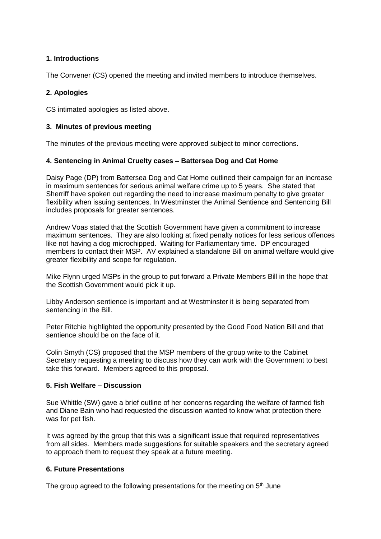# **1. Introductions**

The Convener (CS) opened the meeting and invited members to introduce themselves.

## **2. Apologies**

CS intimated apologies as listed above.

### **3. Minutes of previous meeting**

The minutes of the previous meeting were approved subject to minor corrections.

## **4. Sentencing in Animal Cruelty cases – Battersea Dog and Cat Home**

Daisy Page (DP) from Battersea Dog and Cat Home outlined their campaign for an increase in maximum sentences for serious animal welfare crime up to 5 years. She stated that Sherriff have spoken out regarding the need to increase maximum penalty to give greater flexibility when issuing sentences. In Westminster the Animal Sentience and Sentencing Bill includes proposals for greater sentences.

Andrew Voas stated that the Scottish Government have given a commitment to increase maximum sentences. They are also looking at fixed penalty notices for less serious offences like not having a dog microchipped. Waiting for Parliamentary time. DP encouraged members to contact their MSP. AV explained a standalone Bill on animal welfare would give greater flexibility and scope for regulation.

Mike Flynn urged MSPs in the group to put forward a Private Members Bill in the hope that the Scottish Government would pick it up.

Libby Anderson sentience is important and at Westminster it is being separated from sentencing in the Bill.

Peter Ritchie highlighted the opportunity presented by the Good Food Nation Bill and that sentience should be on the face of it.

Colin Smyth (CS) proposed that the MSP members of the group write to the Cabinet Secretary requesting a meeting to discuss how they can work with the Government to best take this forward. Members agreed to this proposal.

### **5. Fish Welfare – Discussion**

Sue Whittle (SW) gave a brief outline of her concerns regarding the welfare of farmed fish and Diane Bain who had requested the discussion wanted to know what protection there was for pet fish.

It was agreed by the group that this was a significant issue that required representatives from all sides. Members made suggestions for suitable speakers and the secretary agreed to approach them to request they speak at a future meeting.

### **6. Future Presentations**

The group agreed to the following presentations for the meeting on  $5<sup>th</sup>$  June